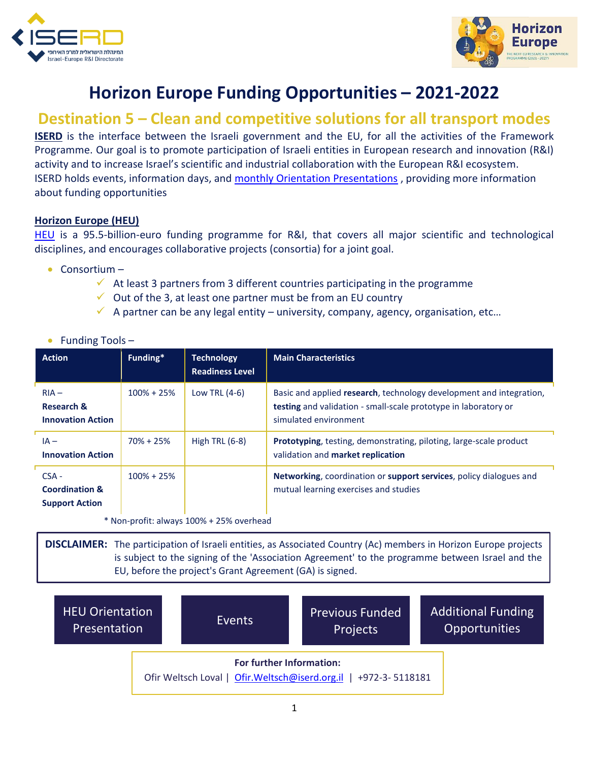



## **Horizon Europe Funding Opportunities – 2021-2022**

## **Destination 5 – Clean and competitive solutions for all transport modes**

**ISERD** is the interface between the Israeli government and the EU, for all the activities of the Framework Programme. Our goal is to promote participation of Israeli entities in European research and innovation (R&I) activity and to increase Israel's scientific and industrial collaboration with the European R&I ecosystem. ISERD holds events, information days, and [monthly Orientation Presentations](https://www.innovationisrael.org.il/ISERD/page/news-events), providing more information about funding opportunities

## **Horizon Europe (HEU)**

[HEU](https://ec.europa.eu/info/horizon-europe_en) is a 95.5-billion-euro funding programme for R&I, that covers all major scientific and technological disciplines, and encourages collaborative projects (consortia) for a joint goal.

- Consortium
	- $\checkmark$  At least 3 partners from 3 different countries participating in the programme
	- $\checkmark$  Out of the 3, at least one partner must be from an EU country
	- $\checkmark$  A partner can be any legal entity university, company, agency, organisation, etc...

| Funding Tools- |  |
|----------------|--|
|                |  |

| <b>Action</b>                                                 | Funding*       | <b>Technology</b><br><b>Readiness Level</b> | <b>Main Characteristics</b>                                                                                                                                     |
|---------------------------------------------------------------|----------------|---------------------------------------------|-----------------------------------------------------------------------------------------------------------------------------------------------------------------|
| $RIA -$<br>Research &<br><b>Innovation Action</b>             | $100\% + 25\%$ | Low TRL $(4-6)$                             | Basic and applied research, technology development and integration,<br>testing and validation - small-scale prototype in laboratory or<br>simulated environment |
| $IA -$<br><b>Innovation Action</b>                            | $70\% + 25\%$  | High TRL $(6-8)$                            | Prototyping, testing, demonstrating, piloting, large-scale product<br>validation and market replication                                                         |
| $CSA -$<br><b>Coordination &amp;</b><br><b>Support Action</b> | $100\% + 25\%$ |                                             | Networking, coordination or support services, policy dialogues and<br>mutual learning exercises and studies                                                     |
|                                                               |                | * Non-profit: always 100% + 25% overhead    |                                                                                                                                                                 |

**DISCLAIMER:** The participation of Israeli entities, as Associated Country (Ac) members in Horizon Europe projects is subject to the signing of the 'Association Agreement' to the programme between Israel and the EU, before the project's Grant Agreement (GA) is signed.

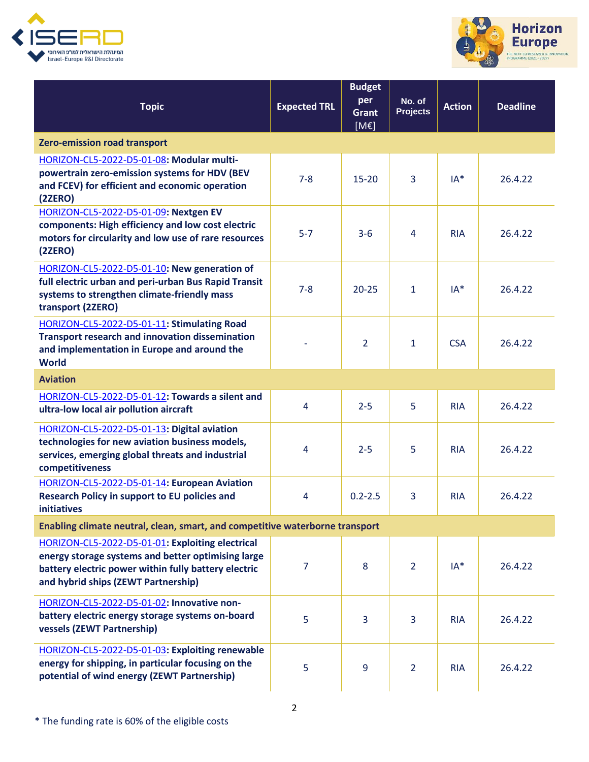



| <b>Topic</b>                                                                                                                                                                                          | <b>Expected TRL</b> | <b>Budget</b><br>per<br><b>Grant</b><br>[ME] | No. of<br><b>Projects</b> | <b>Action</b> | <b>Deadline</b> |  |  |
|-------------------------------------------------------------------------------------------------------------------------------------------------------------------------------------------------------|---------------------|----------------------------------------------|---------------------------|---------------|-----------------|--|--|
| Zero-emission road transport                                                                                                                                                                          |                     |                                              |                           |               |                 |  |  |
| HORIZON-CL5-2022-D5-01-08: Modular multi-<br>powertrain zero-emission systems for HDV (BEV<br>and FCEV) for efficient and economic operation<br>(2ZERO)                                               | $7 - 8$             | $15 - 20$                                    | 3                         | $IA^*$        | 26.4.22         |  |  |
| HORIZON-CL5-2022-D5-01-09: Nextgen EV<br>components: High efficiency and low cost electric<br>motors for circularity and low use of rare resources<br>(2ZERO)                                         | $5 - 7$             | $3-6$                                        | 4                         | <b>RIA</b>    | 26.4.22         |  |  |
| HORIZON-CL5-2022-D5-01-10: New generation of<br>full electric urban and peri-urban Bus Rapid Transit<br>systems to strengthen climate-friendly mass<br>transport (2ZERO)                              | $7 - 8$             | $20 - 25$                                    | $\mathbf{1}$              | $IA*$         | 26.4.22         |  |  |
| HORIZON-CL5-2022-D5-01-11: Stimulating Road<br><b>Transport research and innovation dissemination</b><br>and implementation in Europe and around the<br><b>World</b>                                  |                     | $\overline{2}$                               | $\mathbf{1}$              | <b>CSA</b>    | 26.4.22         |  |  |
| <b>Aviation</b>                                                                                                                                                                                       |                     |                                              |                           |               |                 |  |  |
| HORIZON-CL5-2022-D5-01-12: Towards a silent and<br>ultra-low local air pollution aircraft                                                                                                             | 4                   | $2 - 5$                                      | 5                         | <b>RIA</b>    | 26.4.22         |  |  |
| HORIZON-CL5-2022-D5-01-13: Digital aviation<br>technologies for new aviation business models,<br>services, emerging global threats and industrial<br>competitiveness                                  | 4                   | $2 - 5$                                      | 5.                        | <b>RIA</b>    | 26.4.22         |  |  |
| HORIZON-CL5-2022-D5-01-14: European Aviation<br>Research Policy in support to EU policies and<br><b>initiatives</b>                                                                                   | 4                   | $0.2 - 2.5$                                  | 3                         | <b>RIA</b>    | 26.4.22         |  |  |
| Enabling climate neutral, clean, smart, and competitive waterborne transport                                                                                                                          |                     |                                              |                           |               |                 |  |  |
| HORIZON-CL5-2022-D5-01-01: Exploiting electrical<br>energy storage systems and better optimising large<br>battery electric power within fully battery electric<br>and hybrid ships (ZEWT Partnership) | 7                   | 8                                            | $\overline{2}$            | $IA*$         | 26.4.22         |  |  |
| HORIZON-CL5-2022-D5-01-02: Innovative non-<br>battery electric energy storage systems on-board<br>vessels (ZEWT Partnership)                                                                          | 5                   | 3                                            | 3                         | <b>RIA</b>    | 26.4.22         |  |  |
| HORIZON-CL5-2022-D5-01-03: Exploiting renewable<br>energy for shipping, in particular focusing on the<br>potential of wind energy (ZEWT Partnership)                                                  | 5                   | 9                                            | $\overline{2}$            | <b>RIA</b>    | 26.4.22         |  |  |